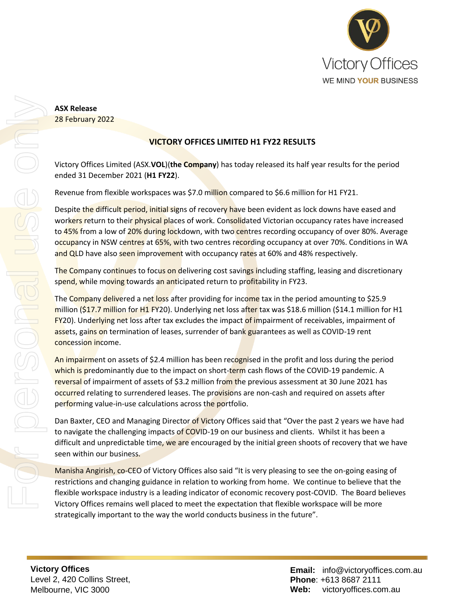

## **ASX Release** 28 February 2022

# **VICTORY OFFICES LIMITED H1 FY22 RESULTS**

Victory Offices Limited (ASX.**VOL**)(**the Company**) has today released its half year results for the period ended 31 December 2021 (**H1 FY22**).

Revenue from flexible workspaces was \$7.0 million compared to \$6.6 million for H1 FY21.

Despite the difficult period, initial signs of recovery have been evident as lock downs have eased and workers return to their physical places of work. Consolidated Victorian occupancy rates have increased to 45% from a low of 20% during lockdown, with two centres recording occupancy of over 80%. Average occupancy in NSW centres at 65%, with two centres recording occupancy at over 70%. Conditions in WA and QLD have also seen improvement with occupancy rates at 60% and 48% respectively.

The Company continues to focus on delivering cost savings including staffing, leasing and discretionary spend, while moving towards an anticipated return to profitability in FY23.

The Company delivered a net loss after providing for income tax in the period amounting to \$25.9 million (\$17.7 million for H1 FY20). Underlying net loss after tax was \$18.6 million (\$14.1 million for H1 FY20). Underlying net loss after tax excludes the impact of impairment of receivables, impairment of assets, gains on termination of leases, surrender of bank guarantees as well as COVID-19 rent concession income.

An impairment on assets of \$2.4 million has been recognised in the profit and loss during the period which is predominantly due to the impact on short-term cash flows of the COVID-19 pandemic. A reversal of impairment of assets of \$3.2 million from the previous assessment at 30 June 2021 has occurred relating to surrendered leases. The provisions are non-cash and required on assets after performing value-in-use calculations across the portfolio.

Dan Baxter, CEO and Managing Director of Victory Offices said that "Over the past 2 years we have had to navigate the challenging impacts of COVID-19 on our business and clients. Whilst it has been a difficult and unpredictable time, we are encouraged by the initial green shoots of recovery that we have seen within our business.

Manisha Angirish, co-CEO of Victory Offices also said "It is very pleasing to see the on-going easing of restrictions and changing guidance in relation to working from home. We continue to believe that the flexible workspace industry is a leading indicator of economic recovery post-COVID. The Board believes Victory Offices remains well placed to meet the expectation that flexible workspace will be more strategically important to the way the world conducts business in the future".

**Victory Offices**  Level 2, 420 Collins Street, Melbourne, VIC 3000

**Email:** info@victoryoffices.com.au **Phone**: +613 8687 2111 **Web:** victoryoffices.com.au